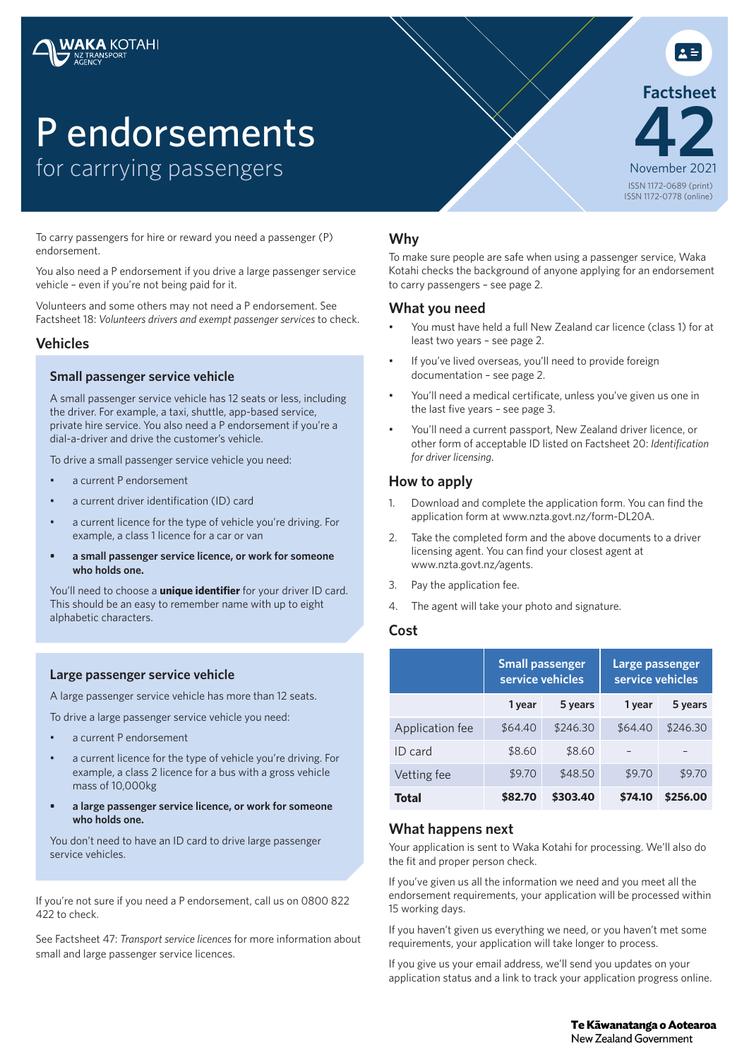# P endorsements for carrrying passengers

To carry passengers for hire or reward you need a passenger (P) endorsement.

You also need a P endorsement if you drive a large passenger service vehicle – even if you're not being paid for it.

Volunteers and some others may not need a P endorsement. See Factsheet 18: *Volunteers drivers and exempt passenger services* to check.

# **Vehicles**

#### **Small passenger service vehicle**

A small passenger service vehicle has 12 seats or less, including the driver. For example, a taxi, shuttle, app-based service, private hire service. You also need a P endorsement if you're a dial-a-driver and drive the customer's vehicle.

To drive a small passenger service vehicle you need:

- a current P endorsement
- a current driver identification (ID) card
- a current licence for the type of vehicle you're driving. For example, a class 1 licence for a car or van
- **• a small passenger service licence, or work for someone who holds one.**

You'll need to choose a **unique identifier** for your driver ID card. This should be an easy to remember name with up to eight alphabetic characters.

# **Large passenger service vehicle**

A large passenger service vehicle has more than 12 seats.

To drive a large passenger service vehicle you need:

- a current P endorsement
- a current licence for the type of vehicle you're driving. For example, a class 2 licence for a bus with a gross vehicle mass of 10,000kg
- **• a large passenger service licence, or work for someone who holds one.**

You don't need to have an ID card to drive large passenger service vehicles.

If you're not sure if you need a P endorsement, call us on 0800 822 422 to check.

See Factsheet 47: *Transport service licences* for more information about small and large passenger service licences.

# **Why**

To make sure people are safe when using a passenger service, Waka Kotahi checks the background of anyone applying for an endorsement to carry passengers – see page 2.

ISSN 1172-0689 (print) ISSN 1172-0778 (online)

November 2021 **42**

**Factsheet**

 $\mathbf{A} =$ 

#### **What you need**

- You must have held a full New Zealand car licence (class 1) for at least two years – see page 2.
- If you've lived overseas, you'll need to provide foreign documentation – see page 2.
- You'll need a medical certificate, unless you've given us one in the last five years – see page 3.
- You'll need a current passport, New Zealand driver licence, or other form of acceptable ID listed on Factsheet 20: *Identification for driver licensing*.

# **How to apply**

- 1. Download and complete the application form. You can find the application form at www.nzta.govt.nz/form-DL20A.
- 2. Take the completed form and the above documents to a driver licensing agent. You can find your closest agent at www.nzta.govt.nz/agents.
- 3. Pay the application fee.
- 4. The agent will take your photo and signature.

# **Cost**

|                 | <b>Small passenger</b><br>service vehicles |          | <b>Large passenger</b><br>service vehicles |          |
|-----------------|--------------------------------------------|----------|--------------------------------------------|----------|
|                 | 1 year                                     | 5 years  | 1 year                                     | 5 years  |
| Application fee | \$64.40                                    | \$246.30 | \$64.40                                    | \$246.30 |
| ID card         | \$8.60                                     | \$8.60   |                                            |          |
| Vetting fee     | \$9.70                                     | \$48.50  | \$9.70                                     | \$9.70   |
| Total           | \$82.70                                    | \$303.40 | \$74.10                                    | \$256.00 |

# **What happens next**

Your application is sent to Waka Kotahi for processing. We'll also do the fit and proper person check.

If you've given us all the information we need and you meet all the endorsement requirements, your application will be processed within 15 working days.

If you haven't given us everything we need, or you haven't met some requirements, your application will take longer to process.

If you give us your email address, we'll send you updates on your application status and a link to track your application progress online.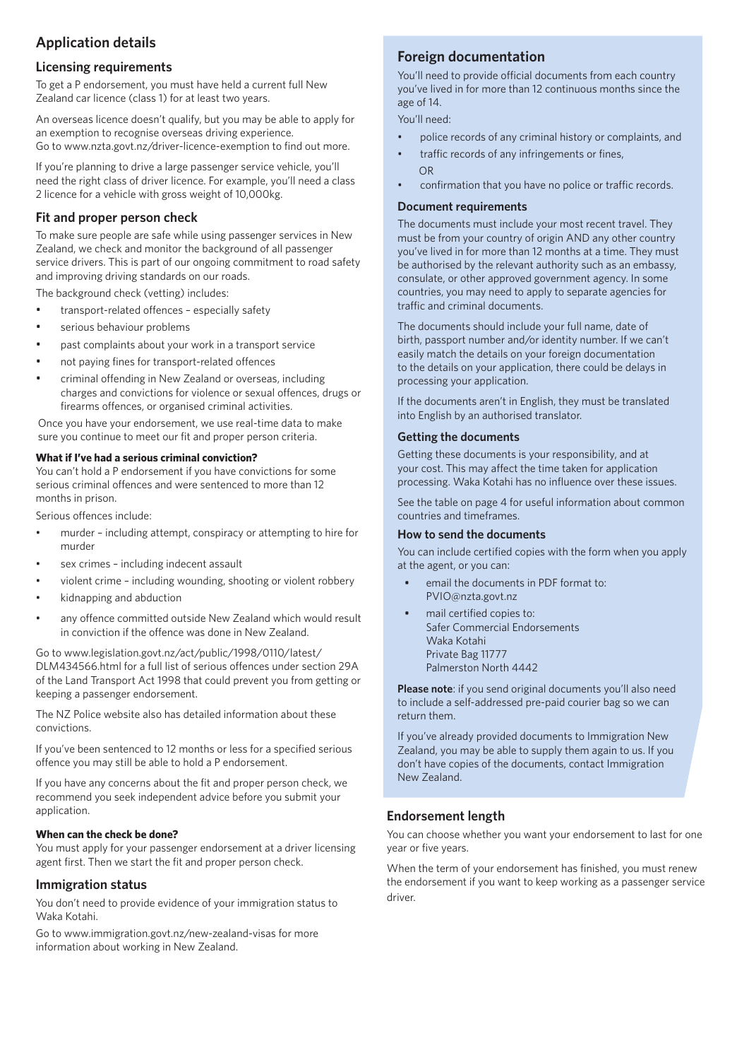# **Application details**

# **Licensing requirements**

To get a P endorsement, you must have held a current full New Zealand car licence (class 1) for at least two years.

An overseas licence doesn't qualify, but you may be able to apply for an exemption to recognise overseas driving experience. Go to www.nzta.govt.nz/driver-licence-exemption to find out more.

If you're planning to drive a large passenger service vehicle, you'll need the right class of driver licence. For example, you'll need a class 2 licence for a vehicle with gross weight of 10,000kg.

# **Fit and proper person check**

To make sure people are safe while using passenger services in New Zealand, we check and monitor the background of all passenger service drivers. This is part of our ongoing commitment to road safety and improving driving standards on our roads.

The background check (vetting) includes:

- transport-related offences especially safety
- serious behaviour problems
- past complaints about your work in a transport service
- not paying fines for transport-related offences
- criminal offending in New Zealand or overseas, including charges and convictions for violence or sexual offences, drugs or firearms offences, or organised criminal activities.

Once you have your endorsement, we use real-time data to make sure you continue to meet our fit and proper person criteria.

#### **What if I've had a serious criminal conviction?**

You can't hold a P endorsement if you have convictions for some serious criminal offences and were sentenced to more than 12 months in prison.

Serious offences include:

- murder including attempt, conspiracy or attempting to hire for murder
- sex crimes including indecent assault
- violent crime including wounding, shooting or violent robbery
- kidnapping and abduction
- any offence committed outside New Zealand which would result in conviction if the offence was done in New Zealand.

Go to www.legislation.govt.nz/act/public/1998/0110/latest/ DLM434566.html for a full list of serious offences under section 29A of the Land Transport Act 1998 that could prevent you from getting or keeping a passenger endorsement.

The NZ Police website also has detailed information about these convictions.

If you've been sentenced to 12 months or less for a specified serious offence you may still be able to hold a P endorsement.

If you have any concerns about the fit and proper person check, we recommend you seek independent advice before you submit your application.

#### **When can the check be done?**

You must apply for your passenger endorsement at a driver licensing agent first. Then we start the fit and proper person check.

#### **Immigration status**

You don't need to provide evidence of your immigration status to Waka Kotahi.

Go to www.immigration.govt.nz/new-zealand-visas for more information about working in New Zealand.

# **Foreign documentation**

You'll need to provide official documents from each country you've lived in for more than 12 continuous months since the age of 14.

You'll need:

- police records of any criminal history or complaints, and
- traffic records of any infringements or fines, OR
- confirmation that you have no police or traffic records.

#### **Document requirements**

The documents must include your most recent travel. They must be from your country of origin AND any other country you've lived in for more than 12 months at a time. They must be authorised by the relevant authority such as an embassy, consulate, or other approved government agency. In some countries, you may need to apply to separate agencies for traffic and criminal documents.

The documents should include your full name, date of birth, passport number and/or identity number. If we can't easily match the details on your foreign documentation to the details on your application, there could be delays in processing your application.

If the documents aren't in English, they must be translated into English by an authorised translator.

#### **Getting the documents**

Getting these documents is your responsibility, and at your cost. This may affect the time taken for application processing. Waka Kotahi has no influence over these issues.

See the table on page 4 for useful information about common countries and timeframes.

#### **How to send the documents**

You can include certified copies with the form when you apply at the agent, or you can:

- email the documents in PDF format to: PVIO@nzta.govt.nz
- mail certified copies to: Safer Commercial Endorsements Waka Kotahi Private Bag 11777 Palmerston North 4442

**Please note**: if you send original documents you'll also need to include a self-addressed pre-paid courier bag so we can return them.

If you've already provided documents to Immigration New Zealand, you may be able to supply them again to us. If you don't have copies of the documents, contact Immigration New Zealand.

# **Endorsement length**

You can choose whether you want your endorsement to last for one year or five years.

When the term of your endorsement has finished, you must renew the endorsement if you want to keep working as a passenger service driver.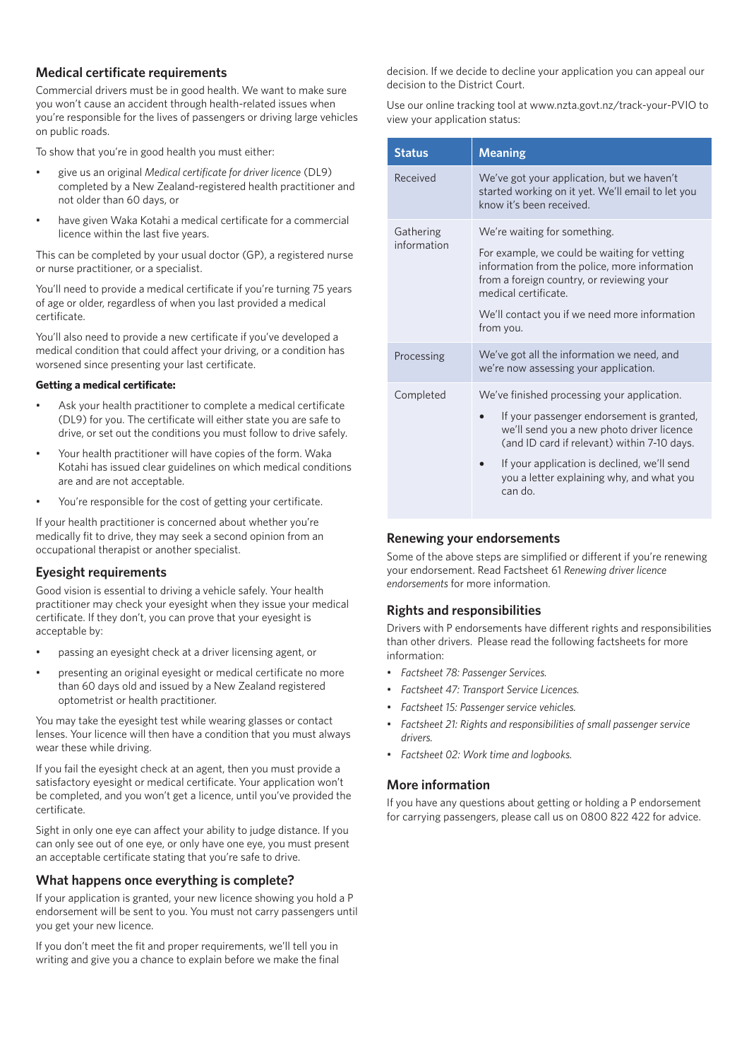# **Medical certificate requirements**

Commercial drivers must be in good health. We want to make sure you won't cause an accident through health-related issues when you're responsible for the lives of passengers or driving large vehicles on public roads.

To show that you're in good health you must either:

- give us an original *Medical certificate for driver licence* (DL9) completed by a New Zealand-registered health practitioner and not older than 60 days, or
- have given Waka Kotahi a medical certificate for a commercial licence within the last five years.

This can be completed by your usual doctor (GP), a registered nurse or nurse practitioner, or a specialist.

You'll need to provide a medical certificate if you're turning 75 years of age or older, regardless of when you last provided a medical certificate.

You'll also need to provide a new certificate if you've developed a medical condition that could affect your driving, or a condition has worsened since presenting your last certificate.

#### **Getting a medical certificate:**

- Ask your health practitioner to complete a medical certificate (DL9) for you. The certificate will either state you are safe to drive, or set out the conditions you must follow to drive safely.
- Your health practitioner will have copies of the form. Waka Kotahi has issued clear guidelines on which medical conditions are and are not acceptable.
- You're responsible for the cost of getting your certificate.

If your health practitioner is concerned about whether you're medically fit to drive, they may seek a second opinion from an occupational therapist or another specialist.

#### **Eyesight requirements**

Good vision is essential to driving a vehicle safely. Your health practitioner may check your eyesight when they issue your medical certificate. If they don't, you can prove that your eyesight is acceptable by:

- passing an eyesight check at a driver licensing agent, or
- presenting an original eyesight or medical certificate no more than 60 days old and issued by a New Zealand registered optometrist or health practitioner.

You may take the eyesight test while wearing glasses or contact lenses. Your licence will then have a condition that you must always wear these while driving.

If you fail the eyesight check at an agent, then you must provide a satisfactory eyesight or medical certificate. Your application won't be completed, and you won't get a licence, until you've provided the certificate.

Sight in only one eye can affect your ability to judge distance. If you can only see out of one eye, or only have one eye, you must present an acceptable certificate stating that you're safe to drive.

#### **What happens once everything is complete?**

If your application is granted, your new licence showing you hold a P endorsement will be sent to you. You must not carry passengers until you get your new licence.

If you don't meet the fit and proper requirements, we'll tell you in writing and give you a chance to explain before we make the final decision. If we decide to decline your application you can appeal our decision to the District Court.

Use our online tracking tool at www.nzta.govt.nz/track-your-PVIO to view your application status:

| <b>Status</b>            | <b>Meaning</b>                                                                                                                                                                                                                                                                              |
|--------------------------|---------------------------------------------------------------------------------------------------------------------------------------------------------------------------------------------------------------------------------------------------------------------------------------------|
| Received                 | We've got your application, but we haven't<br>started working on it yet. We'll email to let you<br>know it's been received.                                                                                                                                                                 |
| Gathering<br>information | We're waiting for something.<br>For example, we could be waiting for vetting<br>information from the police, more information<br>from a foreign country, or reviewing your<br>medical certificate.<br>We'll contact you if we need more information<br>from you.                            |
| Processing               | We've got all the information we need, and<br>we're now assessing your application.                                                                                                                                                                                                         |
| Completed                | We've finished processing your application.<br>If your passenger endorsement is granted,<br>we'll send you a new photo driver licence<br>(and ID card if relevant) within 7-10 days.<br>If your application is declined, we'll send<br>you a letter explaining why, and what you<br>can do. |

# **Renewing your endorsements**

Some of the above steps are simplified or different if you're renewing your endorsement. Read Factsheet 61 *Renewing driver licence endorsements* for more information.

# **Rights and responsibilities**

Drivers with P endorsements have different rights and responsibilities than other drivers. Please read the following factsheets for more information:

- *Factsheet 78: Passenger Services.*
- *Factsheet 47: Transport Service Licences.*
- *Factsheet 15: Passenger service vehicles.*
- *Factsheet 21: Rights and responsibilities of small passenger service drivers.*
- *Factsheet 02: Work time and logbooks.*

# **More information**

If you have any questions about getting or holding a P endorsement for carrying passengers, please call us on 0800 822 422 for advice.